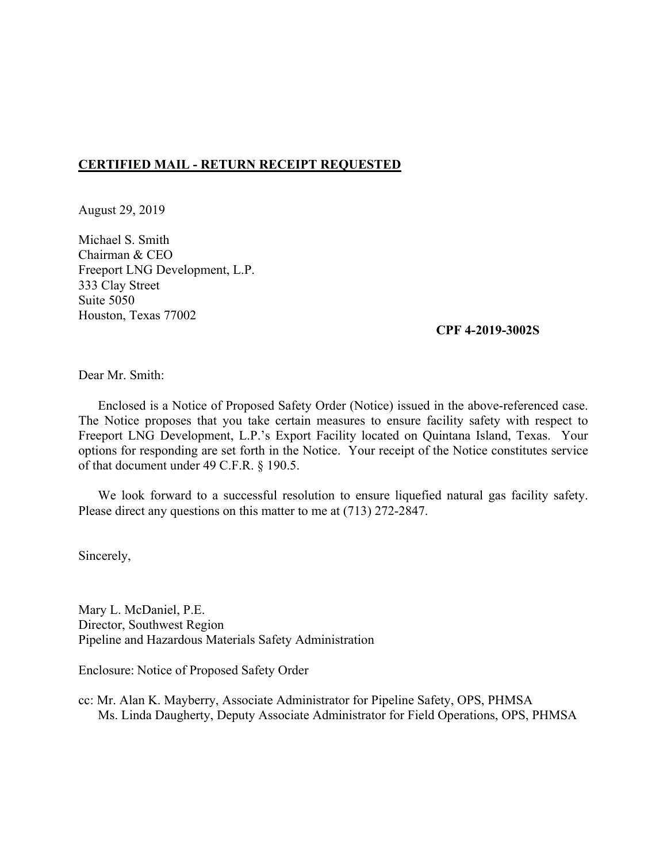## **CERTIFIED MAIL - RETURN RECEIPT REQUESTED**

August 29, 2019

Michael S. Smith Chairman & CEO Freeport LNG Development, L.P. 333 Clay Street Suite 5050 Houston, Texas 77002

#### **CPF 4-2019-3002S**

Dear Mr. Smith:

 Enclosed is a Notice of Proposed Safety Order (Notice) issued in the above-referenced case. The Notice proposes that you take certain measures to ensure facility safety with respect to Freeport LNG Development, L.P.'s Export Facility located on Quintana Island, Texas. Your options for responding are set forth in the Notice. Your receipt of the Notice constitutes service of that document under 49 C.F.R. § 190.5.

We look forward to a successful resolution to ensure liquefied natural gas facility safety. Please direct any questions on this matter to me at (713) 272-2847.

Sincerely,

Mary L. McDaniel, P.E. Director, Southwest Region Pipeline and Hazardous Materials Safety Administration

Enclosure: Notice of Proposed Safety Order

cc: Mr. Alan K. Mayberry, Associate Administrator for Pipeline Safety, OPS, PHMSA Ms. Linda Daugherty, Deputy Associate Administrator for Field Operations, OPS, PHMSA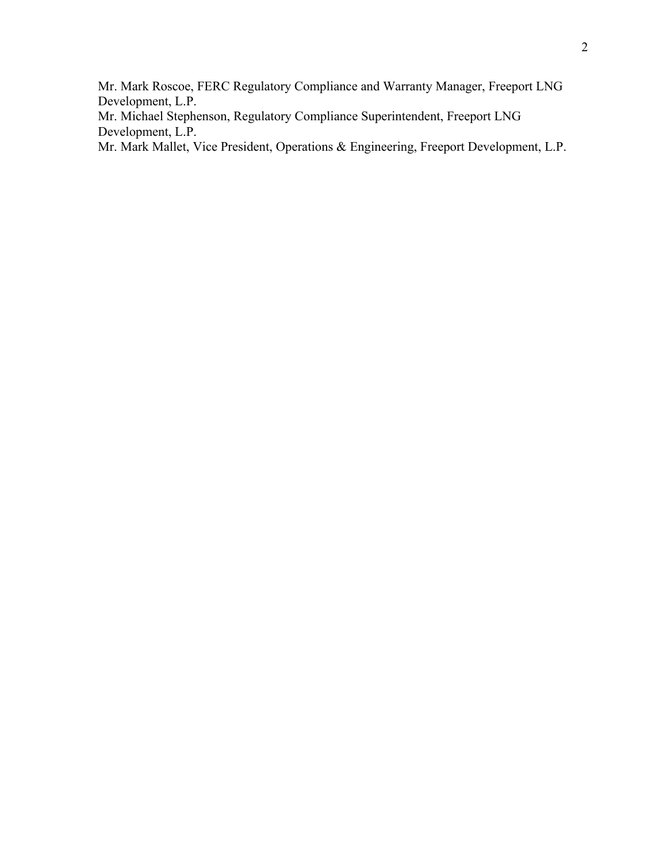Mr. Mark Roscoe, FERC Regulatory Compliance and Warranty Manager, Freeport LNG Development, L.P.

Mr. Michael Stephenson, Regulatory Compliance Superintendent, Freeport LNG Development, L.P.

Mr. Mark Mallet, Vice President, Operations & Engineering, Freeport Development, L.P.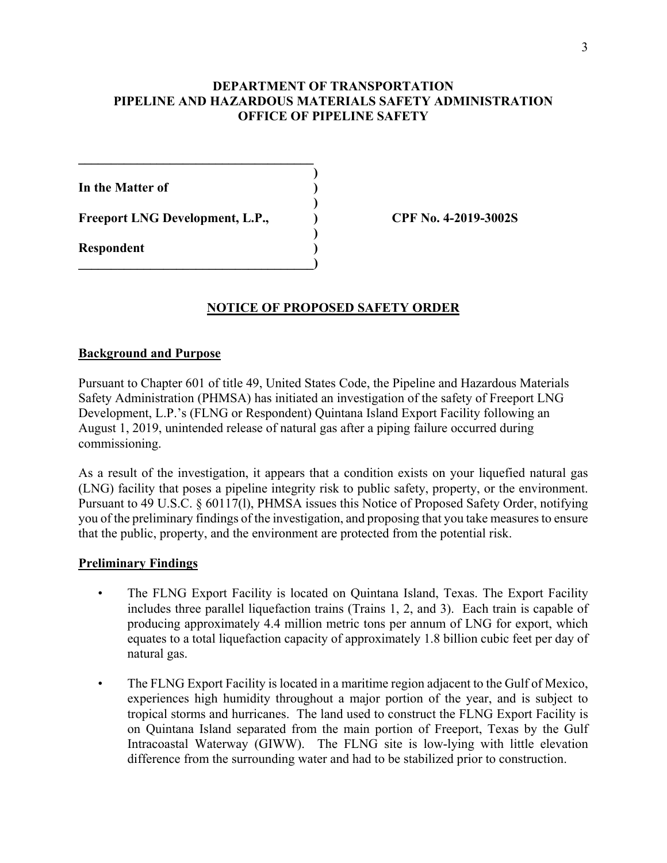# **DEPARTMENT OF TRANSPORTATION PIPELINE AND HAZARDOUS MATERIALS SAFETY ADMINISTRATION OFFICE OF PIPELINE SAFETY**

**)**

**)**

**)**

**In the Matter of )** 

**Freeport LNG Development, L.P., ) CPF No. 4-2019-3002S** 

**\_\_\_\_\_\_\_\_\_\_\_\_\_\_\_\_\_\_\_\_\_\_\_\_\_\_\_\_\_\_\_\_\_\_\_\_** 

**\_\_\_\_\_\_\_\_\_\_\_\_\_\_\_\_\_\_\_\_\_\_\_\_\_\_\_\_\_\_\_\_\_\_\_\_)** 

**Respondent )**

# **NOTICE OF PROPOSED SAFETY ORDER**

### **Background and Purpose**

Pursuant to Chapter 601 of title 49, United States Code, the Pipeline and Hazardous Materials Safety Administration (PHMSA) has initiated an investigation of the safety of Freeport LNG Development, L.P.'s (FLNG or Respondent) Quintana Island Export Facility following an August 1, 2019, unintended release of natural gas after a piping failure occurred during commissioning.

 you of the preliminary findings of the investigation, and proposing that you take measures to ensure As a result of the investigation, it appears that a condition exists on your liquefied natural gas (LNG) facility that poses a pipeline integrity risk to public safety, property, or the environment. Pursuant to 49 U.S.C. § 60117(l), PHMSA issues this Notice of Proposed Safety Order, notifying that the public, property, and the environment are protected from the potential risk.

### **Preliminary Findings**

- includes three parallel liquefaction trains (Trains 1, 2, and 3). Each train is capable of The FLNG Export Facility is located on Quintana Island, Texas. The Export Facility producing approximately 4.4 million metric tons per annum of LNG for export, which equates to a total liquefaction capacity of approximately 1.8 billion cubic feet per day of natural gas.
- • The FLNG Export Facility is located in a maritime region adjacent to the Gulf of Mexico, experiences high humidity throughout a major portion of the year, and is subject to tropical storms and hurricanes. The land used to construct the FLNG Export Facility is on Quintana Island separated from the main portion of Freeport, Texas by the Gulf Intracoastal Waterway (GIWW). The FLNG site is low-lying with little elevation difference from the surrounding water and had to be stabilized prior to construction.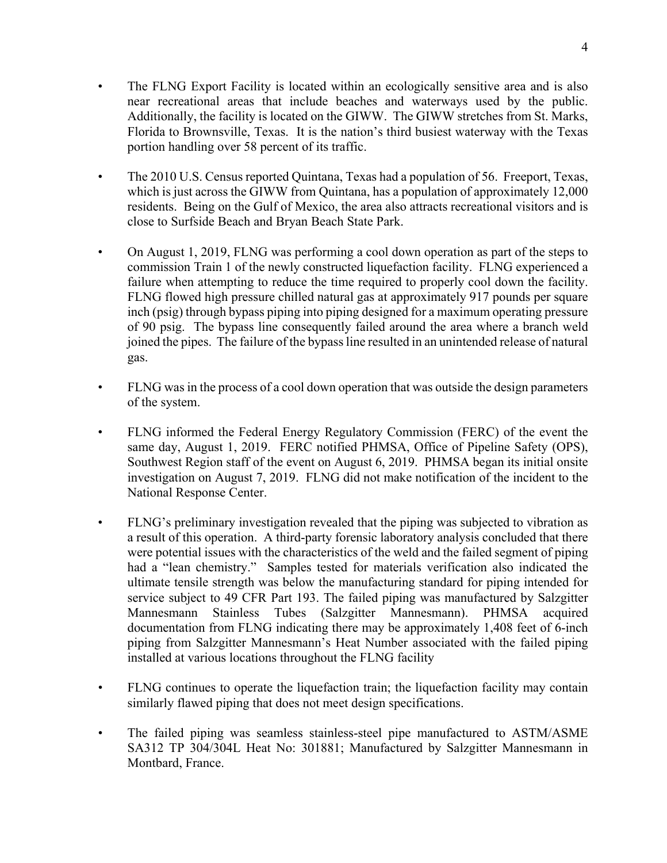- Additionally, the facility is located on the GIWW. The GIWW stretches from St. Marks, • The FLNG Export Facility is located within an ecologically sensitive area and is also near recreational areas that include beaches and waterways used by the public. Florida to Brownsville, Texas. It is the nation's third busiest waterway with the Texas portion handling over 58 percent of its traffic.
- The 2010 U.S. Census reported Quintana, Texas had a population of 56. Freeport, Texas, which is just across the GIWW from Quintana, has a population of approximately 12,000 residents. Being on the Gulf of Mexico, the area also attracts recreational visitors and is close to Surfside Beach and Bryan Beach State Park.
- On August 1, 2019, FLNG was performing a cool down operation as part of the steps to commission Train 1 of the newly constructed liquefaction facility. FLNG experienced a failure when attempting to reduce the time required to properly cool down the facility. FLNG flowed high pressure chilled natural gas at approximately 917 pounds per square inch (psig) through bypass piping into piping designed for a maximum operating pressure of 90 psig. The bypass line consequently failed around the area where a branch weld joined the pipes. The failure of the bypass line resulted in an unintended release of natural gas.
- FLNG was in the process of a cool down operation that was outside the design parameters of the system.
- FLNG informed the Federal Energy Regulatory Commission (FERC) of the event the same day, August 1, 2019. FERC notified PHMSA, Office of Pipeline Safety (OPS), Southwest Region staff of the event on August 6, 2019. PHMSA began its initial onsite investigation on August 7, 2019. FLNG did not make notification of the incident to the National Response Center.
- • FLNG's preliminary investigation revealed that the piping was subjected to vibration as a result of this operation. A third-party forensic laboratory analysis concluded that there had a "lean chemistry." Samples tested for materials verification also indicated the were potential issues with the characteristics of the weld and the failed segment of piping ultimate tensile strength was below the manufacturing standard for piping intended for service subject to 49 CFR Part 193. The failed piping was manufactured by Salzgitter Mannesmann Stainless Tubes (Salzgitter Mannesmann). PHMSA acquired documentation from FLNG indicating there may be approximately 1,408 feet of 6-inch piping from Salzgitter Mannesmann's Heat Number associated with the failed piping installed at various locations throughout the FLNG facility
- FLNG continues to operate the liquefaction train; the liquefaction facility may contain similarly flawed piping that does not meet design specifications.
- The failed piping was seamless stainless-steel pipe manufactured to ASTM/ASME SA312 TP 304/304L Heat No: 301881; Manufactured by Salzgitter Mannesmann in Montbard, France.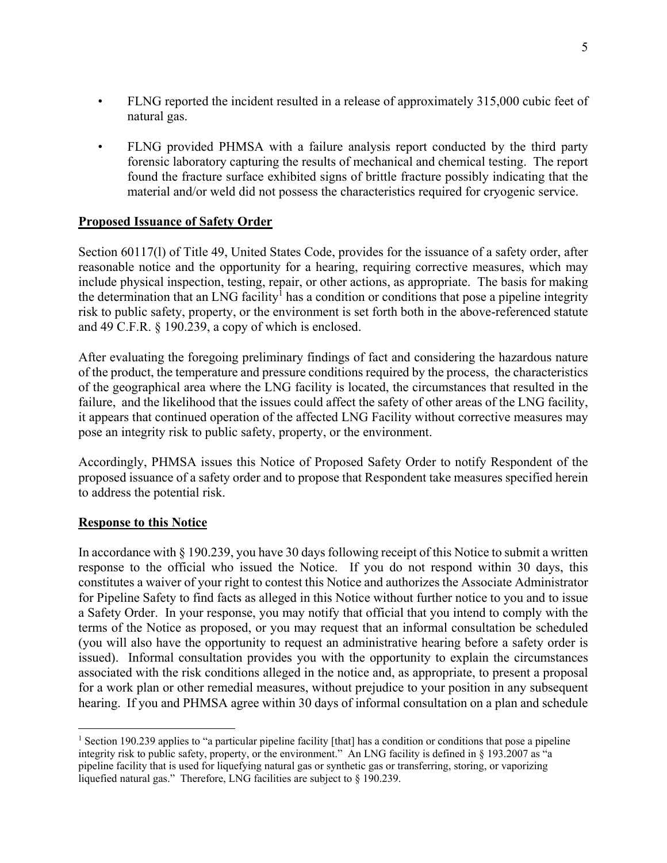- FLNG reported the incident resulted in a release of approximately 315,000 cubic feet of natural gas.
- • FLNG provided PHMSA with a failure analysis report conducted by the third party forensic laboratory capturing the results of mechanical and chemical testing. The report found the fracture surface exhibited signs of brittle fracture possibly indicating that the material and/or weld did not possess the characteristics required for cryogenic service.

# **Proposed Issuance of Safety Order**

the determination that an LNG facility<sup>1</sup> has a condition or conditions that pose a pipeline integrity Section 60117(l) of Title 49, United States Code, provides for the issuance of a safety order, after reasonable notice and the opportunity for a hearing, requiring corrective measures, which may include physical inspection, testing, repair, or other actions, as appropriate. The basis for making risk to public safety, property, or the environment is set forth both in the above-referenced statute and 49 C.F.R. § 190.239, a copy of which is enclosed.

After evaluating the foregoing preliminary findings of fact and considering the hazardous nature of the product, the temperature and pressure conditions required by the process, the characteristics of the geographical area where the LNG facility is located, the circumstances that resulted in the failure, and the likelihood that the issues could affect the safety of other areas of the LNG facility, it appears that continued operation of the affected LNG Facility without corrective measures may pose an integrity risk to public safety, property, or the environment.

Accordingly, PHMSA issues this Notice of Proposed Safety Order to notify Respondent of the proposed issuance of a safety order and to propose that Respondent take measures specified herein to address the potential risk.

### **Response to this Notice**

 hearing. If you and PHMSA agree within 30 days of informal consultation on a plan and schedule In accordance with § 190.239, you have 30 days following receipt of this Notice to submit a written response to the official who issued the Notice. If you do not respond within 30 days, this constitutes a waiver of your right to contest this Notice and authorizes the Associate Administrator for Pipeline Safety to find facts as alleged in this Notice without further notice to you and to issue a Safety Order. In your response, you may notify that official that you intend to comply with the terms of the Notice as proposed, or you may request that an informal consultation be scheduled (you will also have the opportunity to request an administrative hearing before a safety order is issued). Informal consultation provides you with the opportunity to explain the circumstances associated with the risk conditions alleged in the notice and, as appropriate, to present a proposal for a work plan or other remedial measures, without prejudice to your position in any subsequent

<sup>1</sup>  pipeline facility that is used for liquefying natural gas or synthetic gas or transferring, storing, or vaporizing <sup>1</sup> Section 190.239 applies to "a particular pipeline facility [that] has a condition or conditions that pose a pipeline integrity risk to public safety, property, or the environment." An LNG facility is defined in § 193.2007 as "a liquefied natural gas." Therefore, LNG facilities are subject to § 190.239.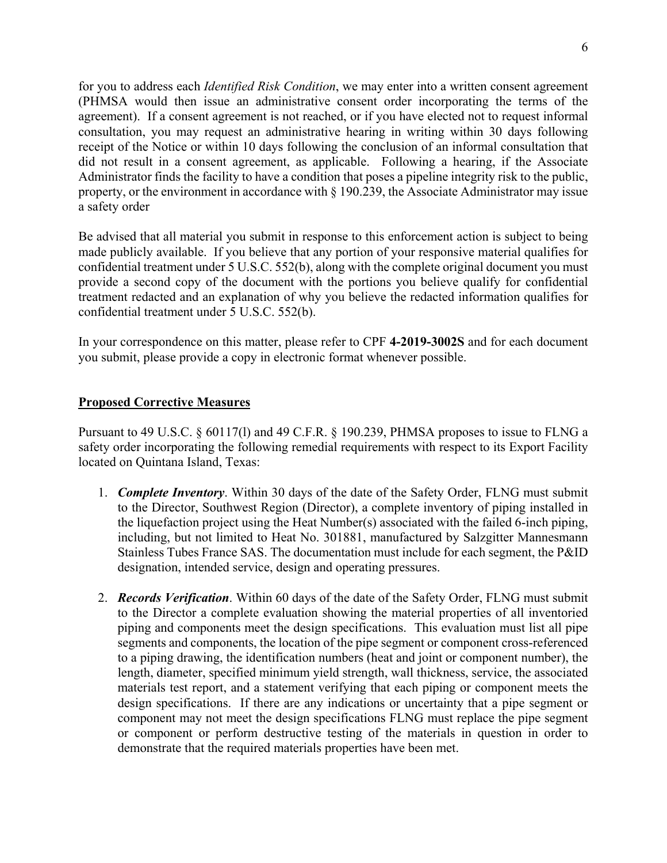agreement). If a consent agreement is not reached, or if you have elected not to request informal Administrator finds the facility to have a condition that poses a pipeline integrity risk to the public, for you to address each *Identified Risk Condition*, we may enter into a written consent agreement (PHMSA would then issue an administrative consent order incorporating the terms of the consultation, you may request an administrative hearing in writing within 30 days following receipt of the Notice or within 10 days following the conclusion of an informal consultation that did not result in a consent agreement, as applicable. Following a hearing, if the Associate property, or the environment in accordance with § 190.239, the Associate Administrator may issue a safety order

Be advised that all material you submit in response to this enforcement action is subject to being made publicly available. If you believe that any portion of your responsive material qualifies for confidential treatment under 5 U.S.C. 552(b), along with the complete original document you must provide a second copy of the document with the portions you believe qualify for confidential treatment redacted and an explanation of why you believe the redacted information qualifies for confidential treatment under 5 U.S.C. 552(b).

In your correspondence on this matter, please refer to CPF **4-2019-3002S** and for each document you submit, please provide a copy in electronic format whenever possible.

#### **Proposed Corrective Measures**

Pursuant to 49 U.S.C. § 60117(l) and 49 C.F.R. § 190.239, PHMSA proposes to issue to FLNG a safety order incorporating the following remedial requirements with respect to its Export Facility located on Quintana Island, Texas:

- 1. *Complete Inventory*. Within 30 days of the date of the Safety Order, FLNG must submit the liquefaction project using the Heat Number(s) associated with the failed 6-inch piping, to the Director, Southwest Region (Director), a complete inventory of piping installed in including, but not limited to Heat No. 301881, manufactured by Salzgitter Mannesmann Stainless Tubes France SAS. The documentation must include for each segment, the P&ID designation, intended service, design and operating pressures.
- 2. *Records Verification*. Within 60 days of the date of the Safety Order, FLNG must submit to the Director a complete evaluation showing the material properties of all inventoried piping and components meet the design specifications. This evaluation must list all pipe segments and components, the location of the pipe segment or component cross-referenced to a piping drawing, the identification numbers (heat and joint or component number), the length, diameter, specified minimum yield strength, wall thickness, service, the associated materials test report, and a statement verifying that each piping or component meets the design specifications. If there are any indications or uncertainty that a pipe segment or component may not meet the design specifications FLNG must replace the pipe segment or component or perform destructive testing of the materials in question in order to demonstrate that the required materials properties have been met.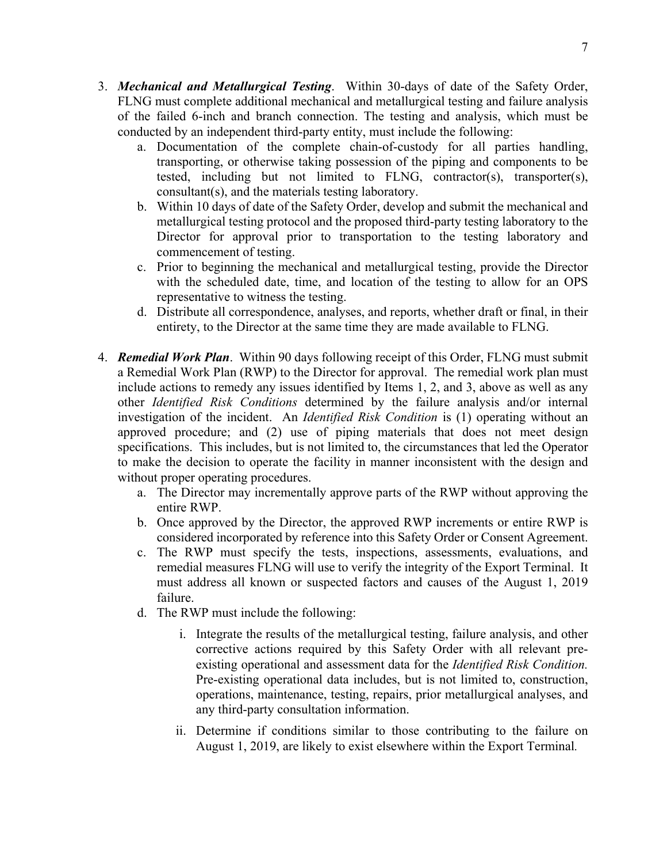- 3. *Mechanical and Metallurgical Testing*. Within 30-days of date of the Safety Order, FLNG must complete additional mechanical and metallurgical testing and failure analysis of the failed 6-inch and branch connection. The testing and analysis, which must be conducted by an independent third-party entity, must include the following:
	- a. Documentation of the complete chain-of-custody for all parties handling, transporting, or otherwise taking possession of the piping and components to be tested, including but not limited to FLNG, contractor(s), transporter(s), consultant(s), and the materials testing laboratory.
	- b. Within 10 days of date of the Safety Order, develop and submit the mechanical and metallurgical testing protocol and the proposed third-party testing laboratory to the Director for approval prior to transportation to the testing laboratory and commencement of testing.
	- c. Prior to beginning the mechanical and metallurgical testing, provide the Director with the scheduled date, time, and location of the testing to allow for an OPS representative to witness the testing.
	- d. Distribute all correspondence, analyses, and reports, whether draft or final, in their entirety, to the Director at the same time they are made available to FLNG.
- approved procedure; and (2) use of piping materials that does not meet design to make the decision to operate the facility in manner inconsistent with the design and 4. *Remedial Work Plan*. Within 90 days following receipt of this Order, FLNG must submit a Remedial Work Plan (RWP) to the Director for approval. The remedial work plan must include actions to remedy any issues identified by Items 1, 2, and 3, above as well as any other *Identified Risk Conditions* determined by the failure analysis and/or internal investigation of the incident. An *Identified Risk Condition* is (1) operating without an specifications. This includes, but is not limited to, the circumstances that led the Operator without proper operating procedures.
	- a. The Director may incrementally approve parts of the RWP without approving the entire RWP.
	- b. Once approved by the Director, the approved RWP increments or entire RWP is considered incorporated by reference into this Safety Order or Consent Agreement.
	- c. The RWP must specify the tests, inspections, assessments, evaluations, and remedial measures FLNG will use to verify the integrity of the Export Terminal. It must address all known or suspected factors and causes of the August 1, 2019 failure.
	- d. The RWP must include the following:
		- existing operational and assessment data for the *Identified Risk Condition.* i. Integrate the results of the metallurgical testing, failure analysis, and other corrective actions required by this Safety Order with all relevant pre-Pre-existing operational data includes, but is not limited to, construction, operations, maintenance, testing, repairs, prior metallurgical analyses, and any third-party consultation information.
		- ii. Determine if conditions similar to those contributing to the failure on August 1, 2019, are likely to exist elsewhere within the Export Terminal*.*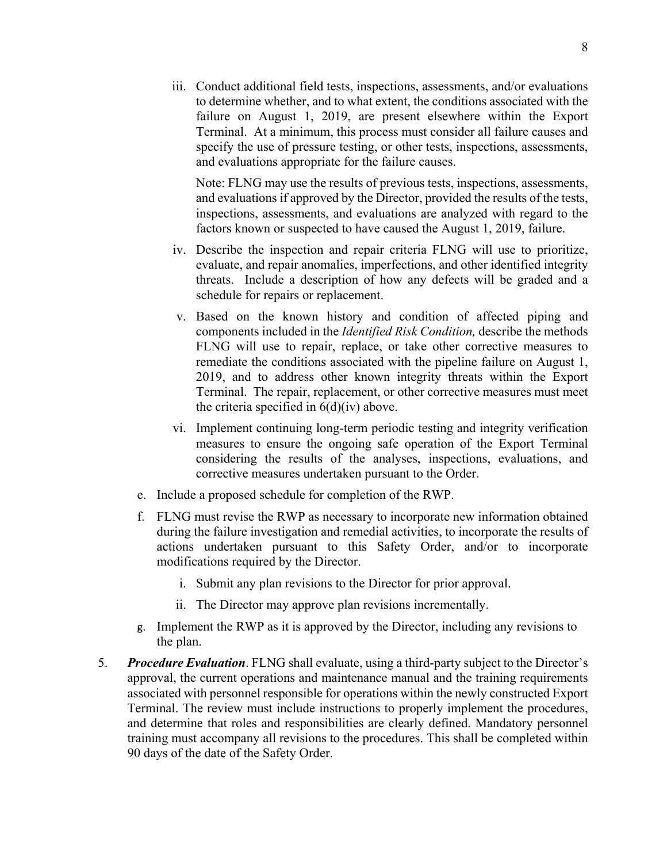iii. Conduct additional field tests, inspections, assessments, and/or evaluations to determine whether, and to what extent, the conditions associated with the failure on August 1, 2019, are present elsewhere within the Export Terminal. At a minimum, this process must consider all failure causes and specify the use of pressure testing, or other tests, inspections, assessments, and evaluations appropriate for the failure causes.

Note: FLNG may use the results of previous tests, inspections, assessments, and evaluations if approved by the Director, provided the results of the tests, inspections, assessments, and evaluations are analyzed with regard to the factors known or suspected to have caused the August 1, 2019, failure.

- iv. Describe the inspection and repair criteria FLNG will use to prioritize, threats. Include a description of how any defects will be graded and a evaluate, and repair anomalies, imperfections, and other identified integrity schedule for repairs or replacement.
- v. Based on the known history and condition of affected piping and components included in the *Identified Risk Condition,* describe the methods FLNG will use to repair, replace, or take other corrective measures to remediate the conditions associated with the pipeline failure on August 1, 2019, and to address other known integrity threats within the Export Terminal. The repair, replacement, or other corrective measures must meet the criteria specified in  $6(d)(iv)$  above.
- vi. Implement continuing long-term periodic testing and integrity verification measures to ensure the ongoing safe operation of the Export Terminal considering the results of the analyses, inspections, evaluations, and corrective measures undertaken pursuant to the Order.
- e. Include a proposed schedule for completion of the RWP.
- f. FLNG must revise the RWP as necessary to incorporate new information obtained during the failure investigation and remedial activities, to incorporate the results of actions undertaken pursuant to this Safety Order, and/or to incorporate modifications required by the Director.
	- i. Submit any plan revisions to the Director for prior approval.
	- ii. The Director may approve plan revisions incrementally.
- g. Implement the RWP as it is approved by the Director, including any revisions to the plan.
- 5. *Procedure Evaluation*. FLNG shall evaluate, using a third-party subject to the Director's approval, the current operations and maintenance manual and the training requirements associated with personnel responsible for operations within the newly constructed Export Terminal. The review must include instructions to properly implement the procedures, and determine that roles and responsibilities are clearly defined. Mandatory personnel training must accompany all revisions to the procedures. This shall be completed within 90 days of the date of the Safety Order.